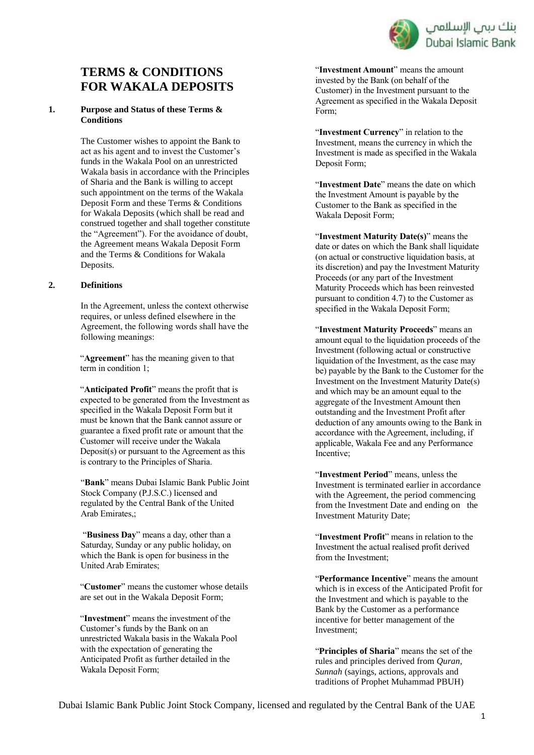

# **TERMS & CONDITIONS FOR WAKALA DEPOSITS**

#### **1. Purpose and Status of these Terms & Conditions**

The Customer wishes to appoint the Bank to act as his agent and to invest the Customer's funds in the Wakala Pool on an unrestricted Wakala basis in accordance with the Principles of Sharia and the Bank is willing to accept such appointment on the terms of the Wakala Deposit Form and these Terms & Conditions for Wakala Deposits (which shall be read and construed together and shall together constitute the "Agreement"). For the avoidance of doubt, the Agreement means Wakala Deposit Form and the Terms & Conditions for Wakala Deposits.

#### **2. Definitions**

In the Agreement, unless the context otherwise requires, or unless defined elsewhere in the Agreement, the following words shall have the following meanings:

"**Agreement**" has the meaning given to that term in condition 1;

"**Anticipated Profit**" means the profit that is expected to be generated from the Investment as specified in the Wakala Deposit Form but it must be known that the Bank cannot assure or guarantee a fixed profit rate or amount that the Customer will receive under the Wakala Deposit(s) or pursuant to the Agreement as this is contrary to the Principles of Sharia.

"**Bank**" means Dubai Islamic Bank Public Joint Stock Company (P.J.S.C.) licensed and regulated by the Central Bank of the United Arab Emirates,;

"**Business Day**" means a day, other than a Saturday, Sunday or any public holiday, on which the Bank is open for business in the United Arab Emirates;

"**Customer**" means the customer whose details are set out in the Wakala Deposit Form;

"**Investment**" means the investment of the Customer's funds by the Bank on an unrestricted Wakala basis in the Wakala Pool with the expectation of generating the Anticipated Profit as further detailed in the Wakala Deposit Form;

"**Investment Amount**" means the amount invested by the Bank (on behalf of the Customer) in the Investment pursuant to the Agreement as specified in the Wakala Deposit Form;

"**Investment Currency**" in relation to the Investment, means the currency in which the Investment is made as specified in the Wakala Deposit Form;

"**Investment Date**" means the date on which the Investment Amount is payable by the Customer to the Bank as specified in the Wakala Deposit Form;

"**Investment Maturity Date(s)**" means the date or dates on which the Bank shall liquidate (on actual or constructive liquidation basis, at its discretion) and pay the Investment Maturity Proceeds (or any part of the Investment Maturity Proceeds which has been reinvested pursuant to condition 4.7) to the Customer as specified in the Wakala Deposit Form;

"**Investment Maturity Proceeds**" means an amount equal to the liquidation proceeds of the Investment (following actual or constructive liquidation of the Investment, as the case may be) payable by the Bank to the Customer for the Investment on the Investment Maturity Date(s) and which may be an amount equal to the aggregate of the Investment Amount then outstanding and the Investment Profit after deduction of any amounts owing to the Bank in accordance with the Agreement, including, if applicable, Wakala Fee and any Performance Incentive;

"**Investment Period**" means, unless the Investment is terminated earlier in accordance with the Agreement, the period commencing from the Investment Date and ending on the Investment Maturity Date;

"**Investment Profit**" means in relation to the Investment the actual realised profit derived from the Investment;

"**Performance Incentive**" means the amount which is in excess of the Anticipated Profit for the Investment and which is payable to the Bank by the Customer as a performance incentive for better management of the Investment;

"**Principles of Sharia**" means the set of the rules and principles derived from *Quran*, *Sunnah* (sayings, actions, approvals and traditions of Prophet Muhammad PBUH)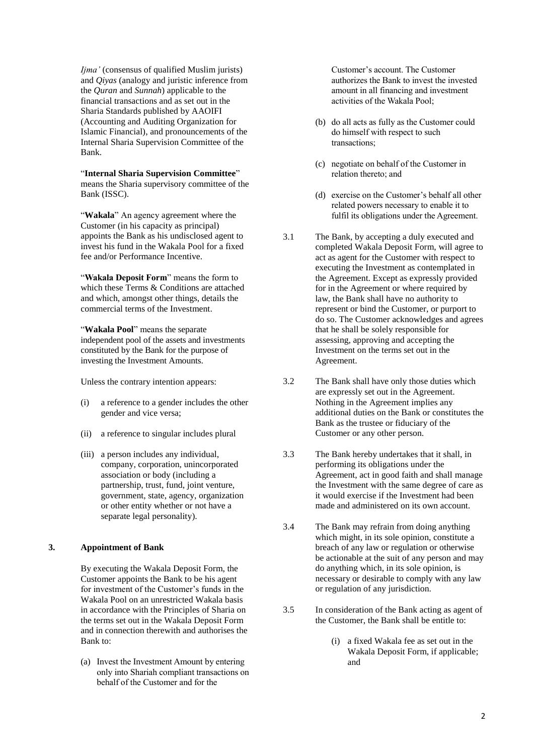*Ijma'* (consensus of qualified Muslim jurists) and *Qiyas* (analogy and juristic inference from the *Quran* and *Sunnah*) applicable to the financial transactions and as set out in the Sharia Standards published by AAOIFI (Accounting and Auditing Organization for Islamic Financial), and pronouncements of the Internal Sharia Supervision Committee of the Bank.

"**Internal Sharia Supervision Committee**" means the Sharia supervisory committee of the Bank (ISSC).

"**Wakala**" An agency agreement where the Customer (in his capacity as principal) appoints the Bank as his undisclosed agent to invest his fund in the Wakala Pool for a fixed fee and/or Performance Incentive.

"**Wakala Deposit Form**" means the form to which these Terms & Conditions are attached and which, amongst other things, details the commercial terms of the Investment.

"**Wakala Pool**" means the separate independent pool of the assets and investments constituted by the Bank for the purpose of investing the Investment Amounts.

Unless the contrary intention appears:

- (i) a reference to a gender includes the other gender and vice versa;
- (ii) a reference to singular includes plural
- (iii) a person includes any individual, company, corporation, unincorporated association or body (including a partnership, trust, fund, joint venture, government, state, agency, organization or other entity whether or not have a separate legal personality).

#### **3. Appointment of Bank**

By executing the Wakala Deposit Form, the Customer appoints the Bank to be his agent for investment of the Customer's funds in the Wakala Pool on an unrestricted Wakala basis in accordance with the Principles of Sharia on the terms set out in the Wakala Deposit Form and in connection therewith and authorises the Bank to:

(a) Invest the Investment Amount by entering only into Shariah compliant transactions on behalf of the Customer and for the

Customer's account. The Customer authorizes the Bank to invest the invested amount in all financing and investment activities of the Wakala Pool;

- (b) do all acts as fully as the Customer could do himself with respect to such transactions;
- (c) negotiate on behalf of the Customer in relation thereto; and
- (d) exercise on the Customer's behalf all other related powers necessary to enable it to fulfil its obligations under the Agreement.
- 3.1 The Bank, by accepting a duly executed and completed Wakala Deposit Form, will agree to act as agent for the Customer with respect to executing the Investment as contemplated in the Agreement. Except as expressly provided for in the Agreement or where required by law, the Bank shall have no authority to represent or bind the Customer, or purport to do so. The Customer acknowledges and agrees that he shall be solely responsible for assessing, approving and accepting the Investment on the terms set out in the Agreement.
- 3.2 The Bank shall have only those duties which are expressly set out in the Agreement. Nothing in the Agreement implies any additional duties on the Bank or constitutes the Bank as the trustee or fiduciary of the Customer or any other person.
- 3.3 The Bank hereby undertakes that it shall, in performing its obligations under the Agreement, act in good faith and shall manage the Investment with the same degree of care as it would exercise if the Investment had been made and administered on its own account.
- 3.4 The Bank may refrain from doing anything which might, in its sole opinion, constitute a breach of any law or regulation or otherwise be actionable at the suit of any person and may do anything which, in its sole opinion, is necessary or desirable to comply with any law or regulation of any jurisdiction.
- 3.5 In consideration of the Bank acting as agent of the Customer, the Bank shall be entitle to:
	- (i) a fixed Wakala fee as set out in the Wakala Deposit Form, if applicable; and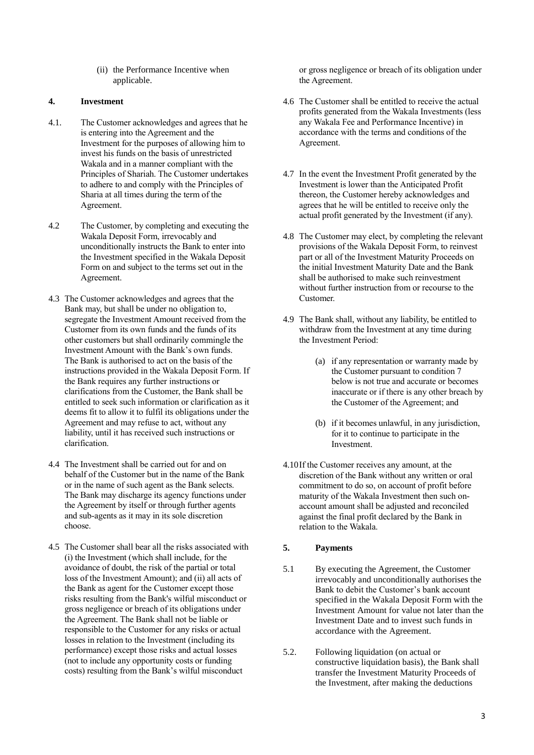(ii) the Performance Incentive when applicable.

#### **4. Investment**

- 4.1. The Customer acknowledges and agrees that he is entering into the Agreement and the Investment for the purposes of allowing him to invest his funds on the basis of unrestricted Wakala and in a manner compliant with the Principles of Shariah. The Customer undertakes to adhere to and comply with the Principles of Sharia at all times during the term of the Agreement.
- 4.2 The Customer, by completing and executing the Wakala Deposit Form, irrevocably and unconditionally instructs the Bank to enter into the Investment specified in the Wakala Deposit Form on and subject to the terms set out in the Agreement.
- 4.3 The Customer acknowledges and agrees that the Bank may, but shall be under no obligation to, segregate the Investment Amount received from the Customer from its own funds and the funds of its other customers but shall ordinarily commingle the Investment Amount with the Bank's own funds. The Bank is authorised to act on the basis of the instructions provided in the Wakala Deposit Form. If the Bank requires any further instructions or clarifications from the Customer, the Bank shall be entitled to seek such information or clarification as it deems fit to allow it to fulfil its obligations under the Agreement and may refuse to act, without any liability, until it has received such instructions or clarification.
- 4.4 The Investment shall be carried out for and on behalf of the Customer but in the name of the Bank or in the name of such agent as the Bank selects. The Bank may discharge its agency functions under the Agreement by itself or through further agents and sub-agents as it may in its sole discretion choose.
- 4.5 The Customer shall bear all the risks associated with (i) the Investment (which shall include, for the avoidance of doubt, the risk of the partial or total loss of the Investment Amount); and (ii) all acts of the Bank as agent for the Customer except those risks resulting from the Bank's wilful misconduct or gross negligence or breach of its obligations under the Agreement. The Bank shall not be liable or responsible to the Customer for any risks or actual losses in relation to the Investment (including its performance) except those risks and actual losses (not to include any opportunity costs or funding costs) resulting from the Bank's wilful misconduct

or gross negligence or breach of its obligation under the Agreement.

- 4.6 The Customer shall be entitled to receive the actual profits generated from the Wakala Investments (less any Wakala Fee and Performance Incentive) in accordance with the terms and conditions of the Agreement.
- 4.7 In the event the Investment Profit generated by the Investment is lower than the Anticipated Profit thereon, the Customer hereby acknowledges and agrees that he will be entitled to receive only the actual profit generated by the Investment (if any).
- 4.8 The Customer may elect, by completing the relevant provisions of the Wakala Deposit Form, to reinvest part or all of the Investment Maturity Proceeds on the initial Investment Maturity Date and the Bank shall be authorised to make such reinvestment without further instruction from or recourse to the Customer.
- 4.9 The Bank shall, without any liability, be entitled to withdraw from the Investment at any time during the Investment Period:
	- (a) if any representation or warranty made by the Customer pursuant to condition 7 below is not true and accurate or becomes inaccurate or if there is any other breach by the Customer of the Agreement; and
	- (b) if it becomes unlawful, in any jurisdiction, for it to continue to participate in the Investment.
- 4.10If the Customer receives any amount, at the discretion of the Bank without any written or oral commitment to do so, on account of profit before maturity of the Wakala Investment then such onaccount amount shall be adjusted and reconciled against the final profit declared by the Bank in relation to the Wakala.

# **5. Payments**

- 5.1 By executing the Agreement, the Customer irrevocably and unconditionally authorises the Bank to debit the Customer's bank account specified in the Wakala Deposit Form with the Investment Amount for value not later than the Investment Date and to invest such funds in accordance with the Agreement.
- 5.2. Following liquidation (on actual or constructive liquidation basis), the Bank shall transfer the Investment Maturity Proceeds of the Investment, after making the deductions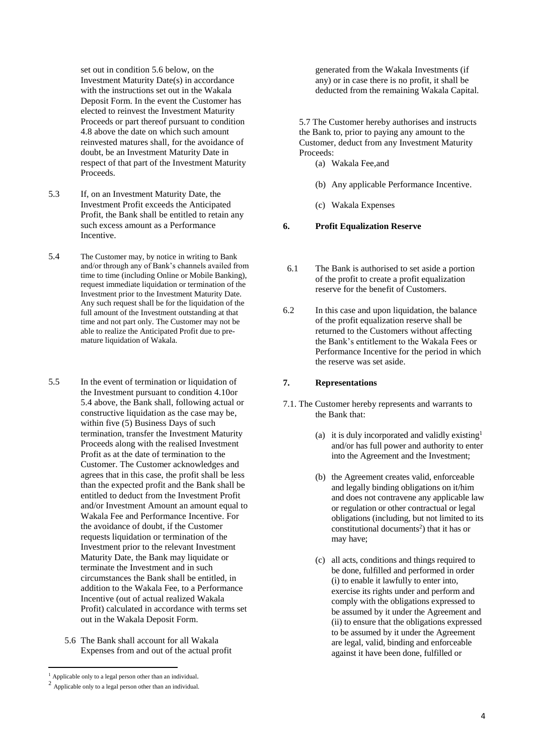set out in condition 5.6 below, on the Investment Maturity Date(s) in accordance with the instructions set out in the Wakala Deposit Form. In the event the Customer has elected to reinvest the Investment Maturity Proceeds or part thereof pursuant to condition 4.8 above the date on which such amount reinvested matures shall, for the avoidance of doubt, be an Investment Maturity Date in respect of that part of the Investment Maturity Proceeds.

- 5.3 If, on an Investment Maturity Date, the Investment Profit exceeds the Anticipated Profit, the Bank shall be entitled to retain any such excess amount as a Performance Incentive.
- 5.4 The Customer may, by notice in writing to Bank and/or through any of Bank's channels availed from time to time (including Online or Mobile Banking), request immediate liquidation or termination of the Investment prior to the Investment Maturity Date. Any such request shall be for the liquidation of the full amount of the Investment outstanding at that time and not part only. The Customer may not be able to realize the Anticipated Profit due to premature liquidation of Wakala.
- 5.5 In the event of termination or liquidation of the Investment pursuant to condition 4.10or 5.4 above, the Bank shall, following actual or constructive liquidation as the case may be, within five (5) Business Days of such termination, transfer the Investment Maturity Proceeds along with the realised Investment Profit as at the date of termination to the Customer. The Customer acknowledges and agrees that in this case, the profit shall be less than the expected profit and the Bank shall be entitled to deduct from the Investment Profit and/or Investment Amount an amount equal to Wakala Fee and Performance Incentive. For the avoidance of doubt, if the Customer requests liquidation or termination of the Investment prior to the relevant Investment Maturity Date, the Bank may liquidate or terminate the Investment and in such circumstances the Bank shall be entitled, in addition to the Wakala Fee, to a Performance Incentive (out of actual realized Wakala Profit) calculated in accordance with terms set out in the Wakala Deposit Form.
	- 5.6 The Bank shall account for all Wakala Expenses from and out of the actual profit

-

generated from the Wakala Investments (if any) or in case there is no profit, it shall be deducted from the remaining Wakala Capital.

5.7 The Customer hereby authorises and instructs the Bank to, prior to paying any amount to the Customer, deduct from any Investment Maturity Proceeds:

- (a) Wakala Fee,and
- (b) Any applicable Performance Incentive.
- (c) Wakala Expenses

#### **6. Profit Equalization Reserve**

- 6.1 The Bank is authorised to set aside a portion of the profit to create a profit equalization reserve for the benefit of Customers.
- 6.2 In this case and upon liquidation, the balance of the profit equalization reserve shall be returned to the Customers without affecting the Bank's entitlement to the Wakala Fees or Performance Incentive for the period in which the reserve was set aside.

## **7. Representations**

- 7.1. The Customer hereby represents and warrants to the Bank that:
	- (a) it is duly incorporated and validly existing<sup>1</sup> and/or has full power and authority to enter into the Agreement and the Investment;
	- (b) the Agreement creates valid, enforceable and legally binding obligations on it/him and does not contravene any applicable law or regulation or other contractual or legal obligations (including, but not limited to its constitutional documents<sup>2</sup>) that it has or may have;
	- (c) all acts, conditions and things required to be done, fulfilled and performed in order (i) to enable it lawfully to enter into, exercise its rights under and perform and comply with the obligations expressed to be assumed by it under the Agreement and (ii) to ensure that the obligations expressed to be assumed by it under the Agreement are legal, valid, binding and enforceable against it have been done, fulfilled or

<sup>&</sup>lt;sup>1</sup> Applicable only to a legal person other than an individual.

<sup>2</sup> Applicable only to a legal person other than an individual.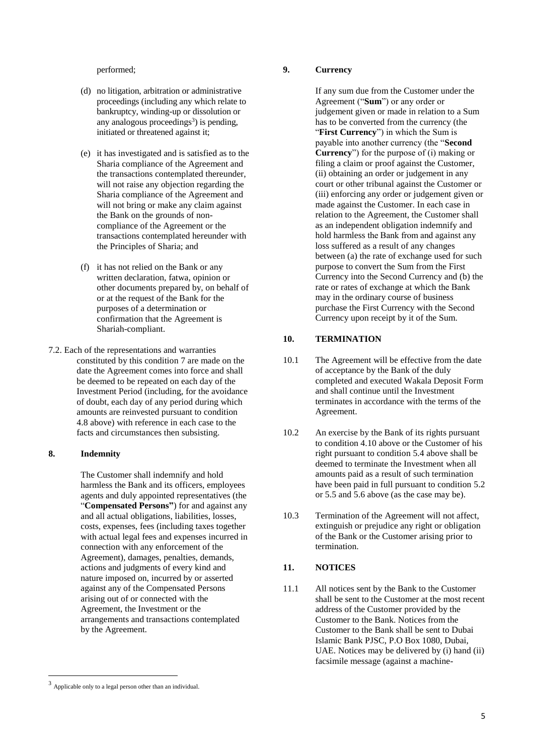performed;

- (d) no litigation, arbitration or administrative proceedings (including any which relate to bankruptcy, winding-up or dissolution or any analogous proceedings<sup>3</sup>) is pending, initiated or threatened against it;
- (e) it has investigated and is satisfied as to the Sharia compliance of the Agreement and the transactions contemplated thereunder, will not raise any objection regarding the Sharia compliance of the Agreement and will not bring or make any claim against the Bank on the grounds of noncompliance of the Agreement or the transactions contemplated hereunder with the Principles of Sharia; and
- (f) it has not relied on the Bank or any written declaration, fatwa, opinion or other documents prepared by, on behalf of or at the request of the Bank for the purposes of a determination or confirmation that the Agreement is Shariah-compliant.
- 7.2. Each of the representations and warranties constituted by this condition 7 are made on the date the Agreement comes into force and shall be deemed to be repeated on each day of the Investment Period (including, for the avoidance of doubt, each day of any period during which amounts are reinvested pursuant to condition 4.8 above) with reference in each case to the facts and circumstances then subsisting.

#### **8. Indemnity**

The Customer shall indemnify and hold harmless the Bank and its officers, employees agents and duly appointed representatives (the "**Compensated Persons"**) for and against any and all actual obligations, liabilities, losses, costs, expenses, fees (including taxes together with actual legal fees and expenses incurred in connection with any enforcement of the Agreement), damages, penalties, demands, actions and judgments of every kind and nature imposed on, incurred by or asserted against any of the Compensated Persons arising out of or connected with the Agreement, the Investment or the arrangements and transactions contemplated by the Agreement.

#### **9. Currency**

If any sum due from the Customer under the Agreement ("**Sum**") or any order or judgement given or made in relation to a Sum has to be converted from the currency (the "First Currency") in which the Sum is payable into another currency (the "**Second Currency**") for the purpose of (i) making or filing a claim or proof against the Customer, (ii) obtaining an order or judgement in any court or other tribunal against the Customer or (iii) enforcing any order or judgement given or made against the Customer. In each case in relation to the Agreement, the Customer shall as an independent obligation indemnify and hold harmless the Bank from and against any loss suffered as a result of any changes between (a) the rate of exchange used for such purpose to convert the Sum from the First Currency into the Second Currency and (b) the rate or rates of exchange at which the Bank may in the ordinary course of business purchase the First Currency with the Second Currency upon receipt by it of the Sum.

# **10. TERMINATION**

- 10.1 The Agreement will be effective from the date of acceptance by the Bank of the duly completed and executed Wakala Deposit Form and shall continue until the Investment terminates in accordance with the terms of the Agreement.
- 10.2 An exercise by the Bank of its rights pursuant to condition 4.10 above or the Customer of his right pursuant to condition 5.4 above shall be deemed to terminate the Investment when all amounts paid as a result of such termination have been paid in full pursuant to condition 5.2 or 5.5 and 5.6 above (as the case may be).
- 10.3 Termination of the Agreement will not affect, extinguish or prejudice any right or obligation of the Bank or the Customer arising prior to termination.

# **11. NOTICES**

11.1 All notices sent by the Bank to the Customer shall be sent to the Customer at the most recent address of the Customer provided by the Customer to the Bank. Notices from the Customer to the Bank shall be sent to Dubai Islamic Bank PJSC, P.O Box 1080, Dubai, UAE. Notices may be delivered by (i) hand (ii) facsimile message (against a machine-

1

<sup>3</sup> Applicable only to a legal person other than an individual.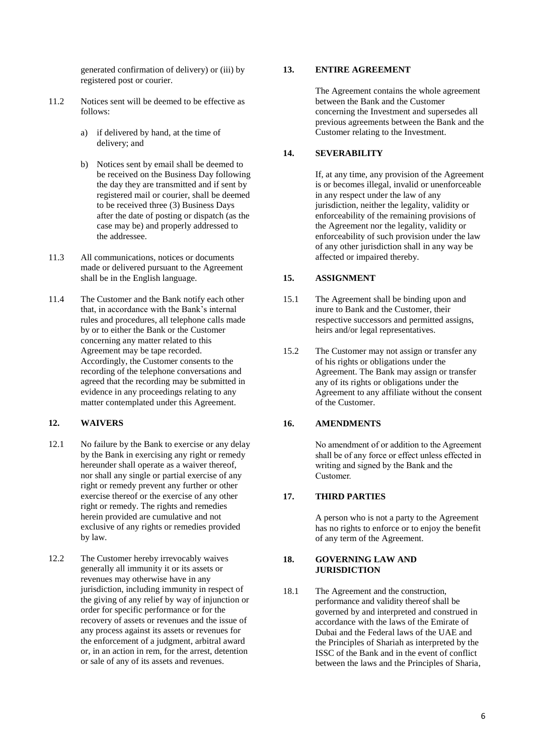generated confirmation of delivery) or (iii) by registered post or courier.

- 11.2 Notices sent will be deemed to be effective as follows:
	- a) if delivered by hand, at the time of delivery; and
	- b) Notices sent by email shall be deemed to be received on the Business Day following the day they are transmitted and if sent by registered mail or courier, shall be deemed to be received three (3) Business Days after the date of posting or dispatch (as the case may be) and properly addressed to the addressee.
- 11.3 All communications, notices or documents made or delivered pursuant to the Agreement shall be in the English language.
- 11.4 The Customer and the Bank notify each other that, in accordance with the Bank's internal rules and procedures, all telephone calls made by or to either the Bank or the Customer concerning any matter related to this Agreement may be tape recorded. Accordingly, the Customer consents to the recording of the telephone conversations and agreed that the recording may be submitted in evidence in any proceedings relating to any matter contemplated under this Agreement.

# **12. WAIVERS**

- 12.1 No failure by the Bank to exercise or any delay by the Bank in exercising any right or remedy hereunder shall operate as a waiver thereof, nor shall any single or partial exercise of any right or remedy prevent any further or other exercise thereof or the exercise of any other right or remedy. The rights and remedies herein provided are cumulative and not exclusive of any rights or remedies provided by law.
- 12.2 The Customer hereby irrevocably waives generally all immunity it or its assets or revenues may otherwise have in any jurisdiction, including immunity in respect of the giving of any relief by way of injunction or order for specific performance or for the recovery of assets or revenues and the issue of any process against its assets or revenues for the enforcement of a judgment, arbitral award or, in an action in rem, for the arrest, detention or sale of any of its assets and revenues.

# **13. ENTIRE AGREEMENT**

The Agreement contains the whole agreement between the Bank and the Customer concerning the Investment and supersedes all previous agreements between the Bank and the Customer relating to the Investment.

# **14. SEVERABILITY**

If, at any time, any provision of the Agreement is or becomes illegal, invalid or unenforceable in any respect under the law of any jurisdiction, neither the legality, validity or enforceability of the remaining provisions of the Agreement nor the legality, validity or enforceability of such provision under the law of any other jurisdiction shall in any way be affected or impaired thereby.

# **15. ASSIGNMENT**

- 15.1 The Agreement shall be binding upon and inure to Bank and the Customer, their respective successors and permitted assigns, heirs and/or legal representatives.
- 15.2 The Customer may not assign or transfer any of his rights or obligations under the Agreement. The Bank may assign or transfer any of its rights or obligations under the Agreement to any affiliate without the consent of the Customer.

# **16. AMENDMENTS**

No amendment of or addition to the Agreement shall be of any force or effect unless effected in writing and signed by the Bank and the Customer.

# **17. THIRD PARTIES**

A person who is not a party to the Agreement has no rights to enforce or to enjoy the benefit of any term of the Agreement.

#### **18. GOVERNING LAW AND JURISDICTION**

18.1 The Agreement and the construction, performance and validity thereof shall be governed by and interpreted and construed in accordance with the laws of the Emirate of Dubai and the Federal laws of the UAE and the Principles of Shariah as interpreted by the ISSC of the Bank and in the event of conflict between the laws and the Principles of Sharia,